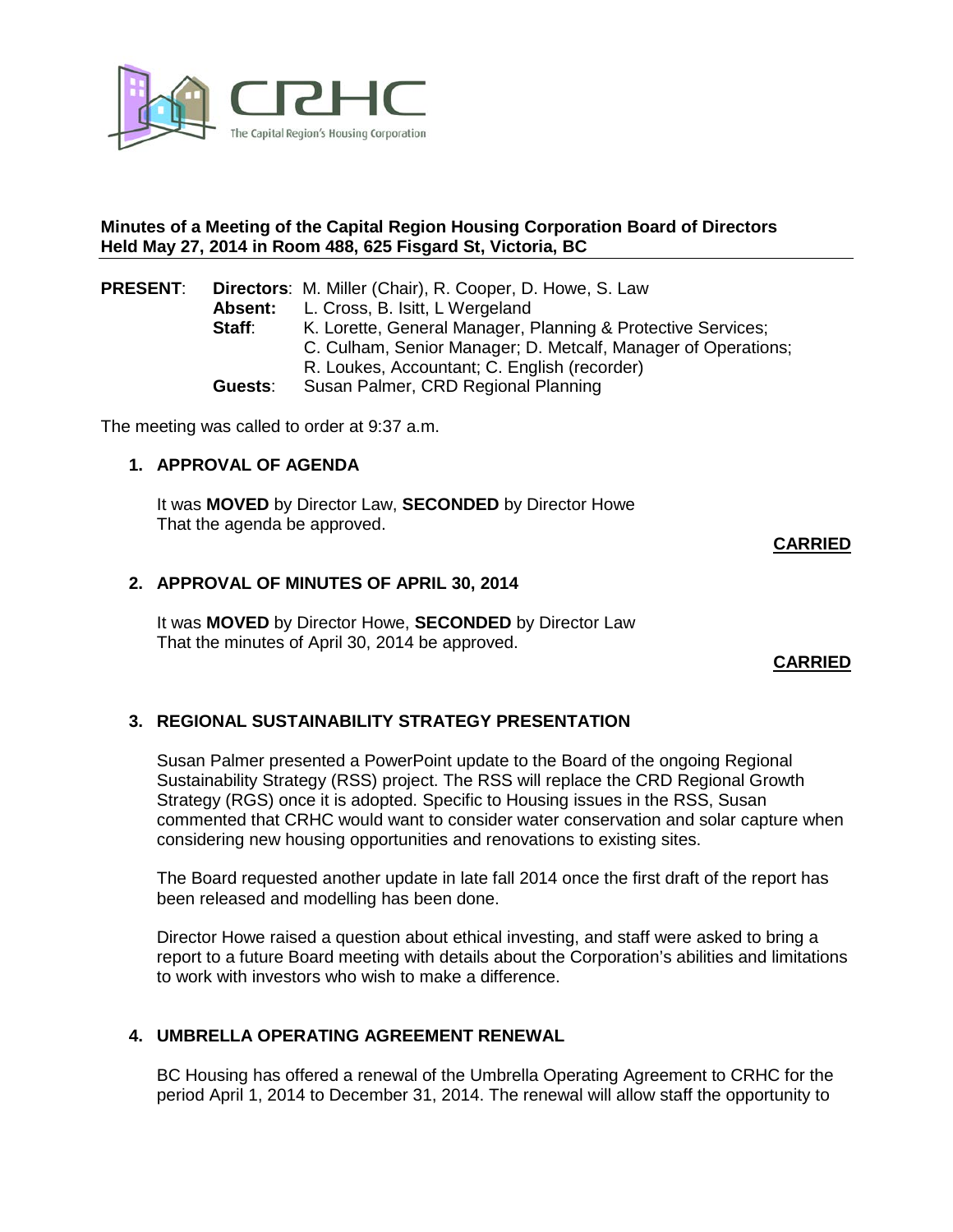

## **Minutes of a Meeting of the Capital Region Housing Corporation Board of Directors Held May 27, 2014 in Room 488, 625 Fisgard St, Victoria, BC**

| <b>PRESENT:</b> |         | <b>Directors:</b> M. Miller (Chair), R. Cooper, D. Howe, S. Law |
|-----------------|---------|-----------------------------------------------------------------|
|                 | Absent: | L. Cross, B. Isitt, L Wergeland                                 |
|                 | Staff:  | K. Lorette, General Manager, Planning & Protective Services;    |
|                 |         | C. Culham, Senior Manager; D. Metcalf, Manager of Operations;   |
|                 |         | R. Loukes, Accountant; C. English (recorder)                    |
|                 | Guests: | Susan Palmer, CRD Regional Planning                             |

The meeting was called to order at 9:37 a.m.

# **1. APPROVAL OF AGENDA**

It was **MOVED** by Director Law, **SECONDED** by Director Howe That the agenda be approved.

**CARRIED**

## **2. APPROVAL OF MINUTES OF APRIL 30, 2014**

It was **MOVED** by Director Howe, **SECONDED** by Director Law That the minutes of April 30, 2014 be approved.

**CARRIED**

# **3. REGIONAL SUSTAINABILITY STRATEGY PRESENTATION**

Susan Palmer presented a PowerPoint update to the Board of the ongoing Regional Sustainability Strategy (RSS) project. The RSS will replace the CRD Regional Growth Strategy (RGS) once it is adopted. Specific to Housing issues in the RSS, Susan commented that CRHC would want to consider water conservation and solar capture when considering new housing opportunities and renovations to existing sites.

The Board requested another update in late fall 2014 once the first draft of the report has been released and modelling has been done.

Director Howe raised a question about ethical investing, and staff were asked to bring a report to a future Board meeting with details about the Corporation's abilities and limitations to work with investors who wish to make a difference.

# **4. UMBRELLA OPERATING AGREEMENT RENEWAL**

BC Housing has offered a renewal of the Umbrella Operating Agreement to CRHC for the period April 1, 2014 to December 31, 2014. The renewal will allow staff the opportunity to